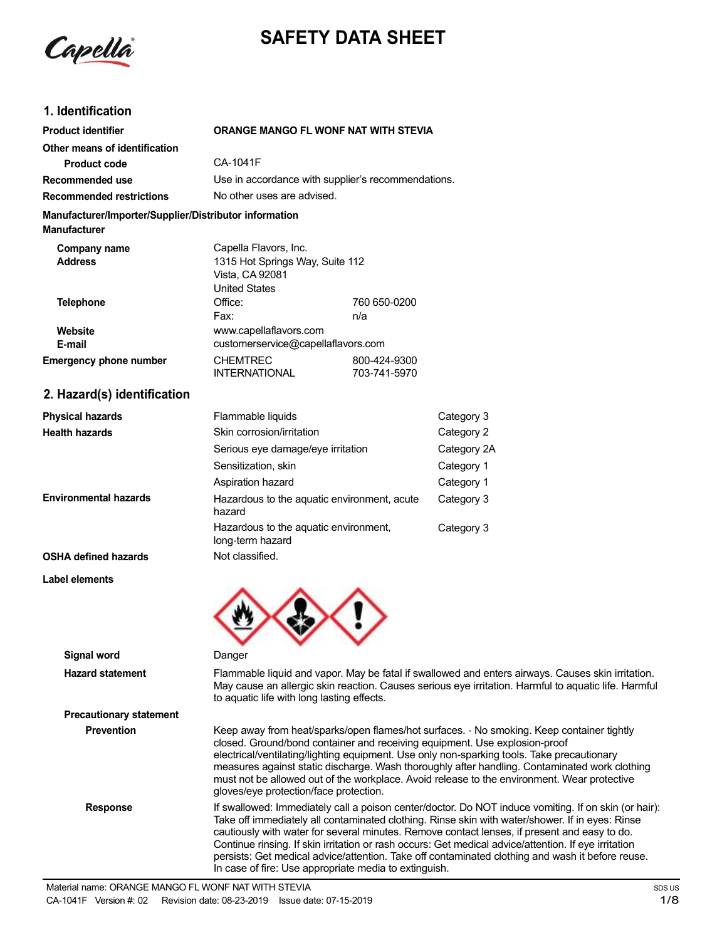Capella

# **SAFETY DATA SHEET**

# **1. Identification**

| <b>Product identifier</b>                                                     | <b>ORANGE MANGO FL WONF NAT WITH STEVIA</b>                                                                                                                                                                                                                                                                                                                                                                                                                                                                         |                              |                                                                                                                                                                                                                                                                                                                                                                                                                                                                       |
|-------------------------------------------------------------------------------|---------------------------------------------------------------------------------------------------------------------------------------------------------------------------------------------------------------------------------------------------------------------------------------------------------------------------------------------------------------------------------------------------------------------------------------------------------------------------------------------------------------------|------------------------------|-----------------------------------------------------------------------------------------------------------------------------------------------------------------------------------------------------------------------------------------------------------------------------------------------------------------------------------------------------------------------------------------------------------------------------------------------------------------------|
| Other means of identification                                                 |                                                                                                                                                                                                                                                                                                                                                                                                                                                                                                                     |                              |                                                                                                                                                                                                                                                                                                                                                                                                                                                                       |
| <b>Product code</b>                                                           | CA-1041F                                                                                                                                                                                                                                                                                                                                                                                                                                                                                                            |                              |                                                                                                                                                                                                                                                                                                                                                                                                                                                                       |
| Recommended use                                                               | Use in accordance with supplier's recommendations.                                                                                                                                                                                                                                                                                                                                                                                                                                                                  |                              |                                                                                                                                                                                                                                                                                                                                                                                                                                                                       |
| <b>Recommended restrictions</b>                                               | No other uses are advised.                                                                                                                                                                                                                                                                                                                                                                                                                                                                                          |                              |                                                                                                                                                                                                                                                                                                                                                                                                                                                                       |
| Manufacturer/Importer/Supplier/Distributor information<br><b>Manufacturer</b> |                                                                                                                                                                                                                                                                                                                                                                                                                                                                                                                     |                              |                                                                                                                                                                                                                                                                                                                                                                                                                                                                       |
| Company name<br>Address                                                       | Capella Flavors, Inc.<br>1315 Hot Springs Way, Suite 112<br>Vista, CA 92081<br><b>United States</b>                                                                                                                                                                                                                                                                                                                                                                                                                 |                              |                                                                                                                                                                                                                                                                                                                                                                                                                                                                       |
| <b>Telephone</b>                                                              | Office:<br>Fax:                                                                                                                                                                                                                                                                                                                                                                                                                                                                                                     | 760 650-0200<br>n/a          |                                                                                                                                                                                                                                                                                                                                                                                                                                                                       |
| Website<br>E-mail                                                             | www.capellaflavors.com<br>customerservice@capellaflavors.com                                                                                                                                                                                                                                                                                                                                                                                                                                                        |                              |                                                                                                                                                                                                                                                                                                                                                                                                                                                                       |
| <b>Emergency phone number</b>                                                 | <b>CHEMTREC</b><br><b>INTERNATIONAL</b>                                                                                                                                                                                                                                                                                                                                                                                                                                                                             | 800-424-9300<br>703-741-5970 |                                                                                                                                                                                                                                                                                                                                                                                                                                                                       |
| 2. Hazard(s) identification                                                   |                                                                                                                                                                                                                                                                                                                                                                                                                                                                                                                     |                              |                                                                                                                                                                                                                                                                                                                                                                                                                                                                       |
| <b>Physical hazards</b>                                                       | Flammable liquids                                                                                                                                                                                                                                                                                                                                                                                                                                                                                                   |                              | Category 3                                                                                                                                                                                                                                                                                                                                                                                                                                                            |
| <b>Health hazards</b>                                                         | Skin corrosion/irritation                                                                                                                                                                                                                                                                                                                                                                                                                                                                                           |                              | Category 2                                                                                                                                                                                                                                                                                                                                                                                                                                                            |
|                                                                               | Serious eye damage/eye irritation                                                                                                                                                                                                                                                                                                                                                                                                                                                                                   |                              | Category 2A                                                                                                                                                                                                                                                                                                                                                                                                                                                           |
|                                                                               | Sensitization, skin                                                                                                                                                                                                                                                                                                                                                                                                                                                                                                 |                              | Category 1                                                                                                                                                                                                                                                                                                                                                                                                                                                            |
|                                                                               | Aspiration hazard                                                                                                                                                                                                                                                                                                                                                                                                                                                                                                   |                              | Category 1                                                                                                                                                                                                                                                                                                                                                                                                                                                            |
| <b>Environmental hazards</b>                                                  | Hazardous to the aquatic environment, acute<br>hazard                                                                                                                                                                                                                                                                                                                                                                                                                                                               |                              | Category 3                                                                                                                                                                                                                                                                                                                                                                                                                                                            |
|                                                                               | Hazardous to the aquatic environment,<br>long-term hazard                                                                                                                                                                                                                                                                                                                                                                                                                                                           |                              | Category 3                                                                                                                                                                                                                                                                                                                                                                                                                                                            |
| OSHA defined hazards                                                          | Not classified.                                                                                                                                                                                                                                                                                                                                                                                                                                                                                                     |                              |                                                                                                                                                                                                                                                                                                                                                                                                                                                                       |
| Label elements                                                                |                                                                                                                                                                                                                                                                                                                                                                                                                                                                                                                     |                              |                                                                                                                                                                                                                                                                                                                                                                                                                                                                       |
| Signal word                                                                   | Danger                                                                                                                                                                                                                                                                                                                                                                                                                                                                                                              |                              |                                                                                                                                                                                                                                                                                                                                                                                                                                                                       |
| <b>Hazard statement</b>                                                       |                                                                                                                                                                                                                                                                                                                                                                                                                                                                                                                     |                              | Flammable liquid and vapor. May be fatal if swallowed and enters airways. Causes skin irritation.                                                                                                                                                                                                                                                                                                                                                                     |
|                                                                               | to aquatic life with long lasting effects.                                                                                                                                                                                                                                                                                                                                                                                                                                                                          |                              | May cause an allergic skin reaction. Causes serious eye irritation. Harmful to aquatic life. Harmful                                                                                                                                                                                                                                                                                                                                                                  |
| <b>Precautionary statement</b>                                                |                                                                                                                                                                                                                                                                                                                                                                                                                                                                                                                     |                              |                                                                                                                                                                                                                                                                                                                                                                                                                                                                       |
| <b>Prevention</b>                                                             | gloves/eye protection/face protection.                                                                                                                                                                                                                                                                                                                                                                                                                                                                              |                              | Keep away from heat/sparks/open flames/hot surfaces. - No smoking. Keep container tightly<br>closed. Ground/bond container and receiving equipment. Use explosion-proof<br>electrical/ventilating/lighting equipment. Use only non-sparking tools. Take precautionary<br>measures against static discharge. Wash thoroughly after handling. Contaminated work clothing<br>must not be allowed out of the workplace. Avoid release to the environment. Wear protective |
| <b>Response</b>                                                               | If swallowed: Immediately call a poison center/doctor. Do NOT induce vomiting. If on skin (or hair):<br>Take off immediately all contaminated clothing. Rinse skin with water/shower. If in eyes: Rinse<br>cautiously with water for several minutes. Remove contact lenses, if present and easy to do.<br>Continue rinsing. If skin irritation or rash occurs: Get medical advice/attention. If eye irritation<br>persists: Get medical advice/attention. Take off contaminated clothing and wash it before reuse. |                              |                                                                                                                                                                                                                                                                                                                                                                                                                                                                       |

In case of fire: Use appropriate media to extinguish.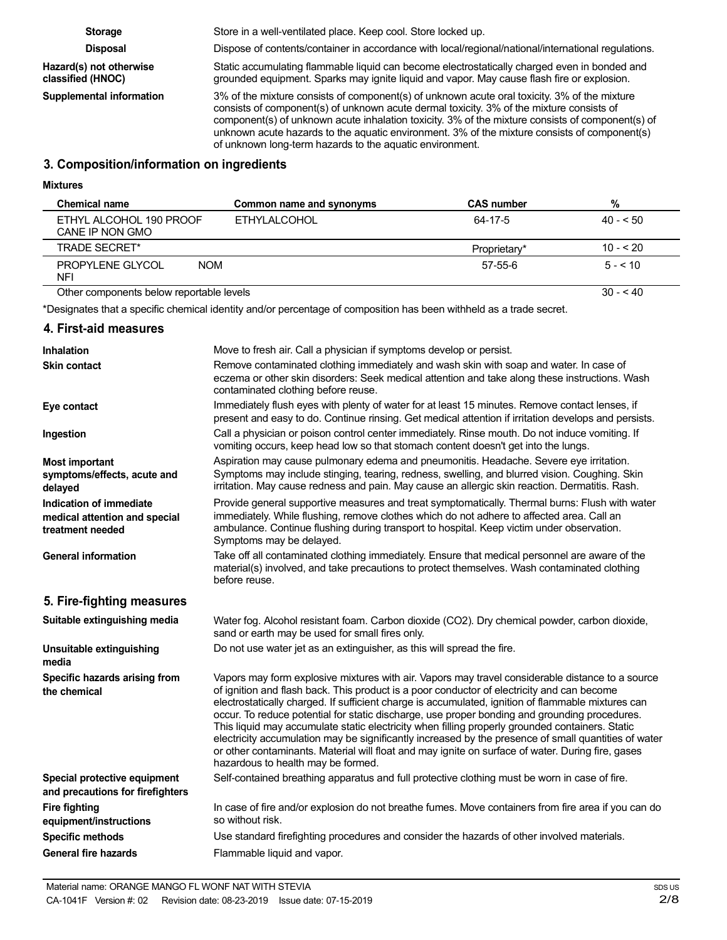| <b>Storage</b>                               | Store in a well-ventilated place. Keep cool. Store locked up.                                                                                                                                                                                                                                                                                                                                                                                            |
|----------------------------------------------|----------------------------------------------------------------------------------------------------------------------------------------------------------------------------------------------------------------------------------------------------------------------------------------------------------------------------------------------------------------------------------------------------------------------------------------------------------|
| <b>Disposal</b>                              | Dispose of contents/container in accordance with local/regional/national/international regulations.                                                                                                                                                                                                                                                                                                                                                      |
| Hazard(s) not otherwise<br>classified (HNOC) | Static accumulating flammable liquid can become electrostatically charged even in bonded and<br>grounded equipment. Sparks may ignite liquid and vapor. May cause flash fire or explosion.                                                                                                                                                                                                                                                               |
| Supplemental information                     | 3% of the mixture consists of component(s) of unknown acute oral toxicity. 3% of the mixture<br>consists of component(s) of unknown acute dermal toxicity. 3% of the mixture consists of<br>component(s) of unknown acute inhalation toxicity. 3% of the mixture consists of component(s) of<br>unknown acute hazards to the aquatic environment. 3% of the mixture consists of component(s)<br>of unknown long-term hazards to the aquatic environment. |

# **3. Composition/information on ingredients**

**Mixtures**

| <b>Chemical name</b>                         | Common name and synonyms | <b>CAS number</b> | %          |
|----------------------------------------------|--------------------------|-------------------|------------|
| ETHYL ALCOHOL 190 PROOF<br>CANE IP NON GMO   | <b>ETHYLALCOHOL</b>      | 64-17-5           | $40 - 50$  |
| TRADE SECRET*                                |                          | Proprietary*      | $10 - 520$ |
| <b>NOM</b><br><b>PROPYLENE GLYCOL</b><br>NFI |                          | 57-55-6           | $5 - 510$  |
| Other components below reportable levels     |                          |                   | $30 - 40$  |

Other components below reportable levels

\*Designates that a specific chemical identity and/or percentage of composition has been withheld as a trade secret.

### **4. First-aid measures**

| <b>Inhalation</b>                                                            | Move to fresh air. Call a physician if symptoms develop or persist.                                                                                                                                                                                                                                                                                                                                                                                                                                                                                                                                                                                                                                                                                         |
|------------------------------------------------------------------------------|-------------------------------------------------------------------------------------------------------------------------------------------------------------------------------------------------------------------------------------------------------------------------------------------------------------------------------------------------------------------------------------------------------------------------------------------------------------------------------------------------------------------------------------------------------------------------------------------------------------------------------------------------------------------------------------------------------------------------------------------------------------|
| <b>Skin contact</b>                                                          | Remove contaminated clothing immediately and wash skin with soap and water. In case of<br>eczema or other skin disorders: Seek medical attention and take along these instructions. Wash<br>contaminated clothing before reuse.                                                                                                                                                                                                                                                                                                                                                                                                                                                                                                                             |
| Eye contact                                                                  | Immediately flush eyes with plenty of water for at least 15 minutes. Remove contact lenses, if<br>present and easy to do. Continue rinsing. Get medical attention if irritation develops and persists.                                                                                                                                                                                                                                                                                                                                                                                                                                                                                                                                                      |
| Ingestion                                                                    | Call a physician or poison control center immediately. Rinse mouth. Do not induce vomiting. If<br>vomiting occurs, keep head low so that stomach content doesn't get into the lungs.                                                                                                                                                                                                                                                                                                                                                                                                                                                                                                                                                                        |
| <b>Most important</b><br>symptoms/effects, acute and<br>delayed              | Aspiration may cause pulmonary edema and pneumonitis. Headache. Severe eye irritation.<br>Symptoms may include stinging, tearing, redness, swelling, and blurred vision. Coughing. Skin<br>irritation. May cause redness and pain. May cause an allergic skin reaction. Dermatitis. Rash.                                                                                                                                                                                                                                                                                                                                                                                                                                                                   |
| Indication of immediate<br>medical attention and special<br>treatment needed | Provide general supportive measures and treat symptomatically. Thermal burns: Flush with water<br>immediately. While flushing, remove clothes which do not adhere to affected area. Call an<br>ambulance. Continue flushing during transport to hospital. Keep victim under observation.<br>Symptoms may be delayed.                                                                                                                                                                                                                                                                                                                                                                                                                                        |
| <b>General information</b>                                                   | Take off all contaminated clothing immediately. Ensure that medical personnel are aware of the<br>material(s) involved, and take precautions to protect themselves. Wash contaminated clothing<br>before reuse.                                                                                                                                                                                                                                                                                                                                                                                                                                                                                                                                             |
| 5. Fire-fighting measures                                                    |                                                                                                                                                                                                                                                                                                                                                                                                                                                                                                                                                                                                                                                                                                                                                             |
| Suitable extinguishing media                                                 | Water fog. Alcohol resistant foam. Carbon dioxide (CO2). Dry chemical powder, carbon dioxide,<br>sand or earth may be used for small fires only.                                                                                                                                                                                                                                                                                                                                                                                                                                                                                                                                                                                                            |
| Unsuitable extinguishing<br>media                                            | Do not use water jet as an extinguisher, as this will spread the fire.                                                                                                                                                                                                                                                                                                                                                                                                                                                                                                                                                                                                                                                                                      |
| Specific hazards arising from<br>the chemical                                | Vapors may form explosive mixtures with air. Vapors may travel considerable distance to a source<br>of ignition and flash back. This product is a poor conductor of electricity and can become<br>electrostatically charged. If sufficient charge is accumulated, ignition of flammable mixtures can<br>occur. To reduce potential for static discharge, use proper bonding and grounding procedures.<br>This liquid may accumulate static electricity when filling properly grounded containers. Static<br>electricity accumulation may be significantly increased by the presence of small quantities of water<br>or other contaminants. Material will float and may ignite on surface of water. During fire, gases<br>hazardous to health may be formed. |
| Special protective equipment<br>and precautions for firefighters             | Self-contained breathing apparatus and full protective clothing must be worn in case of fire.                                                                                                                                                                                                                                                                                                                                                                                                                                                                                                                                                                                                                                                               |
| <b>Fire fighting</b><br>equipment/instructions                               | In case of fire and/or explosion do not breathe fumes. Move containers from fire area if you can do<br>so without risk.                                                                                                                                                                                                                                                                                                                                                                                                                                                                                                                                                                                                                                     |
| <b>Specific methods</b>                                                      | Use standard firefighting procedures and consider the hazards of other involved materials.                                                                                                                                                                                                                                                                                                                                                                                                                                                                                                                                                                                                                                                                  |
| General fire hazards                                                         | Flammable liquid and vapor.                                                                                                                                                                                                                                                                                                                                                                                                                                                                                                                                                                                                                                                                                                                                 |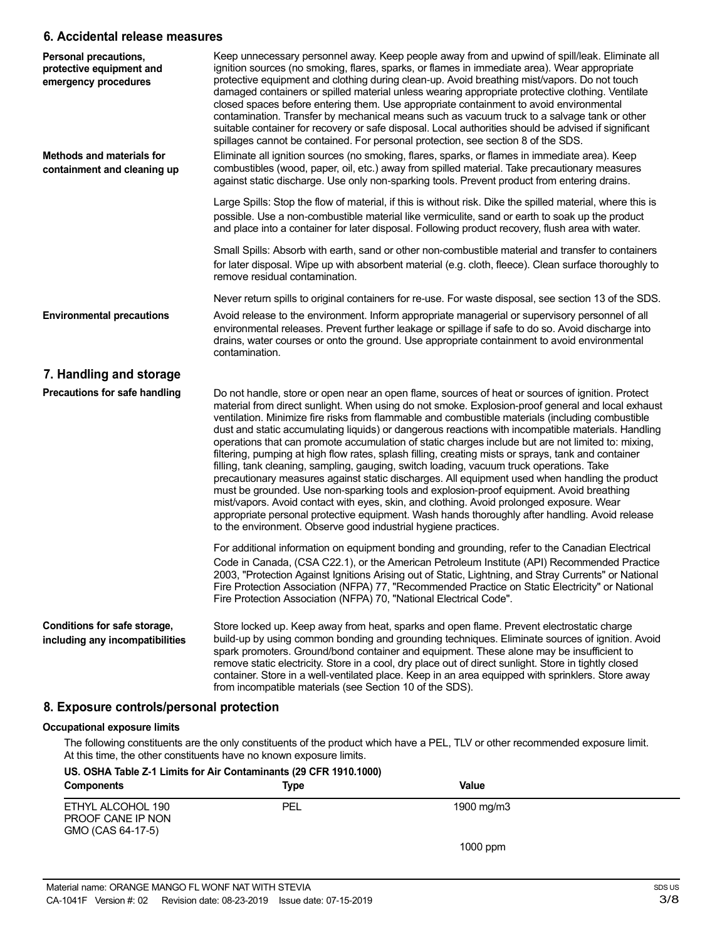### **6. Accidental release measures**

| Personal precautions,<br>protective equipment and<br>emergency procedures | Keep unnecessary personnel away. Keep people away from and upwind of spill/leak. Eliminate all<br>ignition sources (no smoking, flares, sparks, or flames in immediate area). Wear appropriate<br>protective equipment and clothing during clean-up. Avoid breathing mist/vapors. Do not touch<br>damaged containers or spilled material unless wearing appropriate protective clothing. Ventilate<br>closed spaces before entering them. Use appropriate containment to avoid environmental<br>contamination. Transfer by mechanical means such as vacuum truck to a salvage tank or other<br>suitable container for recovery or safe disposal. Local authorities should be advised if significant<br>spillages cannot be contained. For personal protection, see section 8 of the SDS.                                                                                                                                                                                                                                                                                                                                                                                              |
|---------------------------------------------------------------------------|---------------------------------------------------------------------------------------------------------------------------------------------------------------------------------------------------------------------------------------------------------------------------------------------------------------------------------------------------------------------------------------------------------------------------------------------------------------------------------------------------------------------------------------------------------------------------------------------------------------------------------------------------------------------------------------------------------------------------------------------------------------------------------------------------------------------------------------------------------------------------------------------------------------------------------------------------------------------------------------------------------------------------------------------------------------------------------------------------------------------------------------------------------------------------------------|
| <b>Methods and materials for</b><br>containment and cleaning up           | Eliminate all ignition sources (no smoking, flares, sparks, or flames in immediate area). Keep<br>combustibles (wood, paper, oil, etc.) away from spilled material. Take precautionary measures<br>against static discharge. Use only non-sparking tools. Prevent product from entering drains.                                                                                                                                                                                                                                                                                                                                                                                                                                                                                                                                                                                                                                                                                                                                                                                                                                                                                       |
|                                                                           | Large Spills: Stop the flow of material, if this is without risk. Dike the spilled material, where this is<br>possible. Use a non-combustible material like vermiculite, sand or earth to soak up the product<br>and place into a container for later disposal. Following product recovery, flush area with water.                                                                                                                                                                                                                                                                                                                                                                                                                                                                                                                                                                                                                                                                                                                                                                                                                                                                    |
|                                                                           | Small Spills: Absorb with earth, sand or other non-combustible material and transfer to containers<br>for later disposal. Wipe up with absorbent material (e.g. cloth, fleece). Clean surface thoroughly to<br>remove residual contamination.                                                                                                                                                                                                                                                                                                                                                                                                                                                                                                                                                                                                                                                                                                                                                                                                                                                                                                                                         |
|                                                                           | Never return spills to original containers for re-use. For waste disposal, see section 13 of the SDS.                                                                                                                                                                                                                                                                                                                                                                                                                                                                                                                                                                                                                                                                                                                                                                                                                                                                                                                                                                                                                                                                                 |
| <b>Environmental precautions</b>                                          | Avoid release to the environment. Inform appropriate managerial or supervisory personnel of all<br>environmental releases. Prevent further leakage or spillage if safe to do so. Avoid discharge into<br>drains, water courses or onto the ground. Use appropriate containment to avoid environmental<br>contamination.                                                                                                                                                                                                                                                                                                                                                                                                                                                                                                                                                                                                                                                                                                                                                                                                                                                               |
| 7. Handling and storage                                                   |                                                                                                                                                                                                                                                                                                                                                                                                                                                                                                                                                                                                                                                                                                                                                                                                                                                                                                                                                                                                                                                                                                                                                                                       |
| Precautions for safe handling                                             | Do not handle, store or open near an open flame, sources of heat or sources of ignition. Protect<br>material from direct sunlight. When using do not smoke. Explosion-proof general and local exhaust<br>ventilation. Minimize fire risks from flammable and combustible materials (including combustible<br>dust and static accumulating liquids) or dangerous reactions with incompatible materials. Handling<br>operations that can promote accumulation of static charges include but are not limited to: mixing,<br>filtering, pumping at high flow rates, splash filling, creating mists or sprays, tank and container<br>filling, tank cleaning, sampling, gauging, switch loading, vacuum truck operations. Take<br>precautionary measures against static discharges. All equipment used when handling the product<br>must be grounded. Use non-sparking tools and explosion-proof equipment. Avoid breathing<br>mist/vapors. Avoid contact with eyes, skin, and clothing. Avoid prolonged exposure. Wear<br>appropriate personal protective equipment. Wash hands thoroughly after handling. Avoid release<br>to the environment. Observe good industrial hygiene practices. |
|                                                                           | For additional information on equipment bonding and grounding, refer to the Canadian Electrical<br>Code in Canada, (CSA C22.1), or the American Petroleum Institute (API) Recommended Practice<br>2003, "Protection Against Ignitions Arising out of Static, Lightning, and Stray Currents" or National<br>Fire Protection Association (NFPA) 77, "Recommended Practice on Static Electricity" or National<br>Fire Protection Association (NFPA) 70, "National Electrical Code".                                                                                                                                                                                                                                                                                                                                                                                                                                                                                                                                                                                                                                                                                                      |
| Conditions for safe storage,<br>including any incompatibilities           | Store locked up. Keep away from heat, sparks and open flame. Prevent electrostatic charge<br>build-up by using common bonding and grounding techniques. Eliminate sources of ignition. Avoid<br>spark promoters. Ground/bond container and equipment. These alone may be insufficient to<br>remove static electricity. Store in a cool, dry place out of direct sunlight. Store in tightly closed<br>container. Store in a well-ventilated place. Keep in an area equipped with sprinklers. Store away<br>from incompatible materials (see Section 10 of the SDS).                                                                                                                                                                                                                                                                                                                                                                                                                                                                                                                                                                                                                    |
| 8. Exposure controls/personal protection                                  |                                                                                                                                                                                                                                                                                                                                                                                                                                                                                                                                                                                                                                                                                                                                                                                                                                                                                                                                                                                                                                                                                                                                                                                       |
| <b>Occupational exposure limits</b>                                       |                                                                                                                                                                                                                                                                                                                                                                                                                                                                                                                                                                                                                                                                                                                                                                                                                                                                                                                                                                                                                                                                                                                                                                                       |
|                                                                           | The following constituents are the only constituents of the product which have a PEL, TLV or other recommended exposure limit.<br>At this time, the other constituents have no known exposure limits.<br>US. OSHA Table Z-1 Limits for Air Contaminants (29 CFR 1910.1000)                                                                                                                                                                                                                                                                                                                                                                                                                                                                                                                                                                                                                                                                                                                                                                                                                                                                                                            |

| $\overline{O}$ . $\overline{O}$ . The contract of the contract support $\overline{O}$ . The contract support of $\overline{O}$ . The contract of $\overline{O}$<br><b>Components</b> | <b>Type</b> | Value      |  |
|--------------------------------------------------------------------------------------------------------------------------------------------------------------------------------------|-------------|------------|--|
| ETHYL ALCOHOL 190<br>PROOF CANE IP NON<br>GMO (CAS 64-17-5)                                                                                                                          | PEL         | 1900 mg/m3 |  |
|                                                                                                                                                                                      |             | $1000$ ppm |  |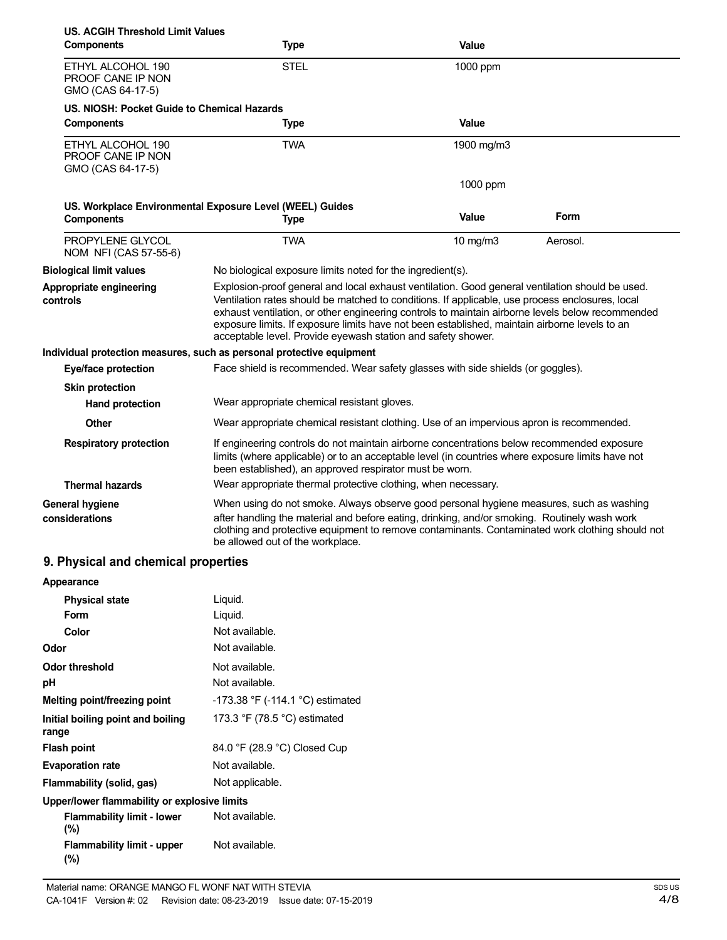| US. ACGIH Threshold Limit Values<br><b>Components</b>       | <b>Type</b>                                                                                                                                                                                                                                                                                                                                                                                                                                                             | Value      |          |
|-------------------------------------------------------------|-------------------------------------------------------------------------------------------------------------------------------------------------------------------------------------------------------------------------------------------------------------------------------------------------------------------------------------------------------------------------------------------------------------------------------------------------------------------------|------------|----------|
| ETHYL ALCOHOL 190<br>PROOF CANE IP NON<br>GMO (CAS 64-17-5) | <b>STEL</b>                                                                                                                                                                                                                                                                                                                                                                                                                                                             | 1000 ppm   |          |
| US. NIOSH: Pocket Guide to Chemical Hazards                 |                                                                                                                                                                                                                                                                                                                                                                                                                                                                         |            |          |
| <b>Components</b>                                           | <b>Type</b>                                                                                                                                                                                                                                                                                                                                                                                                                                                             | Value      |          |
| ETHYL ALCOHOL 190<br>PROOF CANE IP NON<br>GMO (CAS 64-17-5) | <b>TWA</b>                                                                                                                                                                                                                                                                                                                                                                                                                                                              | 1900 mg/m3 |          |
|                                                             |                                                                                                                                                                                                                                                                                                                                                                                                                                                                         | 1000 ppm   |          |
|                                                             | US. Workplace Environmental Exposure Level (WEEL) Guides                                                                                                                                                                                                                                                                                                                                                                                                                |            |          |
| <b>Components</b>                                           | <b>Type</b>                                                                                                                                                                                                                                                                                                                                                                                                                                                             | Value      | Form     |
| <b>PROPYLENE GLYCOL</b><br>NOM NFI (CAS 57-55-6)            | <b>TWA</b>                                                                                                                                                                                                                                                                                                                                                                                                                                                              | 10 mg/m3   | Aerosol. |
| <b>Biological limit values</b>                              | No biological exposure limits noted for the ingredient(s).                                                                                                                                                                                                                                                                                                                                                                                                              |            |          |
| Appropriate engineering<br>controls                         | Explosion-proof general and local exhaust ventilation. Good general ventilation should be used.<br>Ventilation rates should be matched to conditions. If applicable, use process enclosures, local<br>exhaust ventilation, or other engineering controls to maintain airborne levels below recommended<br>exposure limits. If exposure limits have not been established, maintain airborne levels to an<br>acceptable level. Provide eyewash station and safety shower. |            |          |
|                                                             | Individual protection measures, such as personal protective equipment                                                                                                                                                                                                                                                                                                                                                                                                   |            |          |
| Eye/face protection                                         | Face shield is recommended. Wear safety glasses with side shields (or goggles).                                                                                                                                                                                                                                                                                                                                                                                         |            |          |
| <b>Skin protection</b>                                      |                                                                                                                                                                                                                                                                                                                                                                                                                                                                         |            |          |
| <b>Hand protection</b>                                      | Wear appropriate chemical resistant gloves.                                                                                                                                                                                                                                                                                                                                                                                                                             |            |          |
| Other                                                       | Wear appropriate chemical resistant clothing. Use of an impervious apron is recommended.                                                                                                                                                                                                                                                                                                                                                                                |            |          |
| <b>Respiratory protection</b>                               | If engineering controls do not maintain airborne concentrations below recommended exposure<br>limits (where applicable) or to an acceptable level (in countries where exposure limits have not<br>been established), an approved respirator must be worn.                                                                                                                                                                                                               |            |          |
| <b>Thermal hazards</b>                                      | Wear appropriate thermal protective clothing, when necessary.                                                                                                                                                                                                                                                                                                                                                                                                           |            |          |
| <b>General hygiene</b><br>considerations                    | When using do not smoke. Always observe good personal hygiene measures, such as washing<br>after handling the material and before eating, drinking, and/or smoking. Routinely wash work<br>clothing and protective equipment to remove contaminants. Contaminated work clothing should not<br>be allowed out of the workplace.                                                                                                                                          |            |          |

# **9. Physical and chemical properties**

| Appearance                                   |                                                |
|----------------------------------------------|------------------------------------------------|
| <b>Physical state</b>                        | Liquid.                                        |
| Form                                         | Liquid.                                        |
| Color                                        | Not available.                                 |
| Odor                                         | Not available.                                 |
| <b>Odor threshold</b>                        | Not available.                                 |
| рH                                           | Not available.                                 |
| Melting point/freezing point                 | $-173.38$ °F ( $-114.1$ °C) estimated          |
| Initial boiling point and boiling<br>range   | 173.3 $\degree$ F (78.5 $\degree$ C) estimated |
| <b>Flash point</b>                           | 84.0 °F (28.9 °C) Closed Cup                   |
| <b>Evaporation rate</b>                      | Not available.                                 |
| Flammability (solid, gas)                    | Not applicable.                                |
| Upper/lower flammability or explosive limits |                                                |
| <b>Flammability limit - lower</b><br>$(\% )$ | Not available.                                 |
| <b>Flammability limit - upper</b><br>(%)     | Not available.                                 |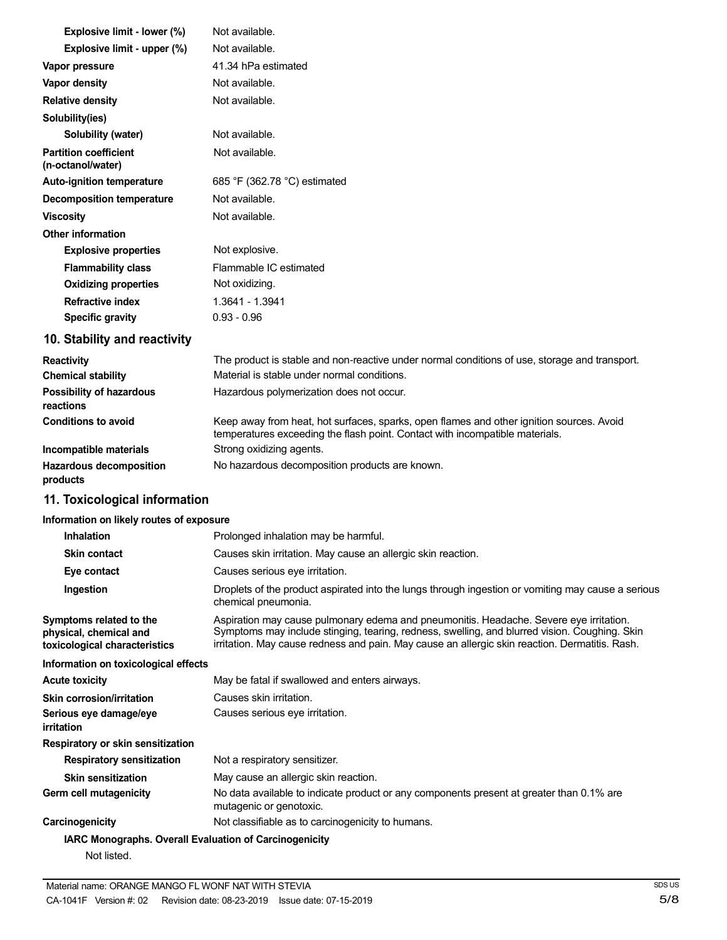| Explosive limit - lower (%)                       | Not available.               |
|---------------------------------------------------|------------------------------|
| Explosive limit - upper (%)                       | Not available.               |
| Vapor pressure                                    | 41.34 hPa estimated          |
| Vapor density                                     | Not available.               |
| <b>Relative density</b>                           | Not available.               |
| Solubility(ies)                                   |                              |
| Solubility (water)                                | Not available.               |
| <b>Partition coefficient</b><br>(n-octanol/water) | Not available.               |
| <b>Auto-ignition temperature</b>                  | 685 °F (362.78 °C) estimated |
| Decomposition temperature                         | Not available.               |
| <b>Viscosity</b>                                  | Not available.               |
| <b>Other information</b>                          |                              |
| <b>Explosive properties</b>                       | Not explosive.               |
| <b>Flammability class</b>                         | Flammable IC estimated       |
| <b>Oxidizing properties</b>                       | Not oxidizing.               |
| <b>Refractive index</b>                           | 1.3641 - 1.3941              |
| <b>Specific gravity</b>                           | $0.93 - 0.96$                |

# **10. Stability and reactivity**

| <b>Reactivity</b>                            | The product is stable and non-reactive under normal conditions of use, storage and transport.                                                                            |
|----------------------------------------------|--------------------------------------------------------------------------------------------------------------------------------------------------------------------------|
| <b>Chemical stability</b>                    | Material is stable under normal conditions.                                                                                                                              |
| <b>Possibility of hazardous</b><br>reactions | Hazardous polymerization does not occur.                                                                                                                                 |
| <b>Conditions to avoid</b>                   | Keep away from heat, hot surfaces, sparks, open flames and other ignition sources. Avoid<br>temperatures exceeding the flash point. Contact with incompatible materials. |
| Incompatible materials                       | Strong oxidizing agents.                                                                                                                                                 |
| <b>Hazardous decomposition</b><br>products   | No hazardous decomposition products are known.                                                                                                                           |

# **11. Toxicological information**

# **Information on likely routes of exposure**

| <b>Inhalation</b>                                                                  | Prolonged inhalation may be harmful.                                                                                                                                                                                                                                                      |
|------------------------------------------------------------------------------------|-------------------------------------------------------------------------------------------------------------------------------------------------------------------------------------------------------------------------------------------------------------------------------------------|
| <b>Skin contact</b>                                                                | Causes skin irritation. May cause an allergic skin reaction.                                                                                                                                                                                                                              |
| Eye contact                                                                        | Causes serious eye irritation.                                                                                                                                                                                                                                                            |
| Ingestion                                                                          | Droplets of the product aspirated into the lungs through ingestion or vomiting may cause a serious<br>chemical pneumonia.                                                                                                                                                                 |
| Symptoms related to the<br>physical, chemical and<br>toxicological characteristics | Aspiration may cause pulmonary edema and pneumonitis. Headache. Severe eye irritation.<br>Symptoms may include stinging, tearing, redness, swelling, and blurred vision. Coughing. Skin<br>irritation. May cause redness and pain. May cause an allergic skin reaction. Dermatitis. Rash. |
| Information on toxicological effects                                               |                                                                                                                                                                                                                                                                                           |
| Acute toxicity                                                                     | May be fatal if swallowed and enters airways.                                                                                                                                                                                                                                             |
| Skin corrosion/irritation                                                          | Causes skin irritation.                                                                                                                                                                                                                                                                   |
| Serious eye damage/eye<br>irritation                                               | Causes serious eye irritation.                                                                                                                                                                                                                                                            |
| Respiratory or skin sensitization                                                  |                                                                                                                                                                                                                                                                                           |
| <b>Respiratory sensitization</b>                                                   | Not a respiratory sensitizer.                                                                                                                                                                                                                                                             |
| <b>Skin sensitization</b>                                                          | May cause an allergic skin reaction.                                                                                                                                                                                                                                                      |
| Germ cell mutagenicity                                                             | No data available to indicate product or any components present at greater than 0.1% are<br>mutagenic or genotoxic.                                                                                                                                                                       |
| Carcinogenicity                                                                    | Not classifiable as to carcinogenicity to humans.                                                                                                                                                                                                                                         |
| <b>IARC Monographs. Overall Evaluation of Carcinogenicity</b>                      |                                                                                                                                                                                                                                                                                           |
| Not listed.                                                                        |                                                                                                                                                                                                                                                                                           |

Material name: ORANGE MANGO FL WONF NAT WITH STEVIA CA-1041F Version #: 02 Revision date: 08-23-2019 Issue date: 07-15-2019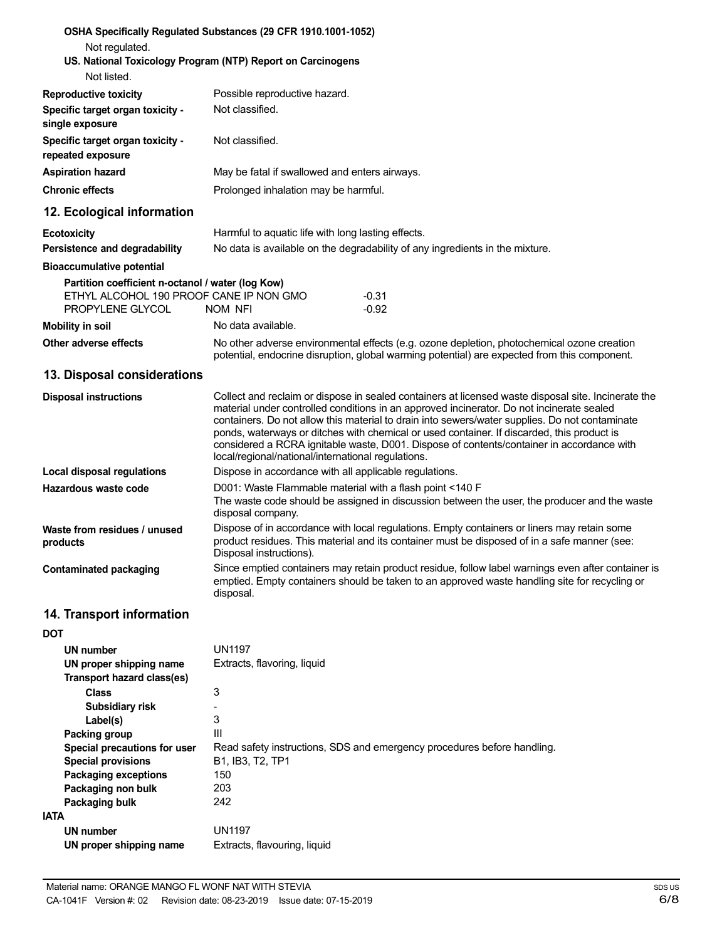| Not regulated.                                                                                                   | OSHA Specifically Regulated Substances (29 CFR 1910.1001-1052)                                                                                                                                                                                                                                                                                                                                                                                                                                                                                      |
|------------------------------------------------------------------------------------------------------------------|-----------------------------------------------------------------------------------------------------------------------------------------------------------------------------------------------------------------------------------------------------------------------------------------------------------------------------------------------------------------------------------------------------------------------------------------------------------------------------------------------------------------------------------------------------|
| Not listed.                                                                                                      | US. National Toxicology Program (NTP) Report on Carcinogens                                                                                                                                                                                                                                                                                                                                                                                                                                                                                         |
| <b>Reproductive toxicity</b>                                                                                     | Possible reproductive hazard.                                                                                                                                                                                                                                                                                                                                                                                                                                                                                                                       |
| Specific target organ toxicity -<br>single exposure                                                              | Not classified.                                                                                                                                                                                                                                                                                                                                                                                                                                                                                                                                     |
| Specific target organ toxicity -<br>repeated exposure                                                            | Not classified.                                                                                                                                                                                                                                                                                                                                                                                                                                                                                                                                     |
| <b>Aspiration hazard</b>                                                                                         | May be fatal if swallowed and enters airways.                                                                                                                                                                                                                                                                                                                                                                                                                                                                                                       |
| <b>Chronic effects</b>                                                                                           | Prolonged inhalation may be harmful.                                                                                                                                                                                                                                                                                                                                                                                                                                                                                                                |
| 12. Ecological information                                                                                       |                                                                                                                                                                                                                                                                                                                                                                                                                                                                                                                                                     |
| <b>Ecotoxicity</b><br>Persistence and degradability                                                              | Harmful to aquatic life with long lasting effects.<br>No data is available on the degradability of any ingredients in the mixture.                                                                                                                                                                                                                                                                                                                                                                                                                  |
| <b>Bioaccumulative potential</b>                                                                                 |                                                                                                                                                                                                                                                                                                                                                                                                                                                                                                                                                     |
| Partition coefficient n-octanol / water (log Kow)<br>ETHYL ALCOHOL 190 PROOF CANE IP NON GMO<br>PROPYLENE GLYCOL | $-0.31$<br>$-0.92$<br>NOM NFI                                                                                                                                                                                                                                                                                                                                                                                                                                                                                                                       |
| <b>Mobility in soil</b>                                                                                          | No data available.                                                                                                                                                                                                                                                                                                                                                                                                                                                                                                                                  |
| Other adverse effects                                                                                            | No other adverse environmental effects (e.g. ozone depletion, photochemical ozone creation<br>potential, endocrine disruption, global warming potential) are expected from this component.                                                                                                                                                                                                                                                                                                                                                          |
| 13. Disposal considerations                                                                                      |                                                                                                                                                                                                                                                                                                                                                                                                                                                                                                                                                     |
| <b>Disposal instructions</b>                                                                                     | Collect and reclaim or dispose in sealed containers at licensed waste disposal site. Incinerate the<br>material under controlled conditions in an approved incinerator. Do not incinerate sealed<br>containers. Do not allow this material to drain into sewers/water supplies. Do not contaminate<br>ponds, waterways or ditches with chemical or used container. If discarded, this product is<br>considered a RCRA ignitable waste, D001. Dispose of contents/container in accordance with<br>local/regional/national/international regulations. |
| <b>Local disposal regulations</b>                                                                                | Dispose in accordance with all applicable regulations.                                                                                                                                                                                                                                                                                                                                                                                                                                                                                              |
| Hazardous waste code                                                                                             | D001: Waste Flammable material with a flash point <140 F<br>The waste code should be assigned in discussion between the user, the producer and the waste<br>disposal company.                                                                                                                                                                                                                                                                                                                                                                       |
| Waste from residues / unused<br>products                                                                         | Dispose of in accordance with local regulations. Empty containers or liners may retain some<br>product residues. This material and its container must be disposed of in a safe manner (see:<br>Disposal instructions).                                                                                                                                                                                                                                                                                                                              |
| <b>Contaminated packaging</b>                                                                                    | Since emptied containers may retain product residue, follow label warnings even after container is<br>emptied. Empty containers should be taken to an approved waste handling site for recycling or<br>disposal.                                                                                                                                                                                                                                                                                                                                    |
| 14. Transport information                                                                                        |                                                                                                                                                                                                                                                                                                                                                                                                                                                                                                                                                     |
| <b>DOT</b>                                                                                                       |                                                                                                                                                                                                                                                                                                                                                                                                                                                                                                                                                     |
| UN number                                                                                                        | <b>UN1197</b>                                                                                                                                                                                                                                                                                                                                                                                                                                                                                                                                       |
| UN proper shipping name<br>Transport hazard class(es)                                                            | Extracts, flavoring, liquid                                                                                                                                                                                                                                                                                                                                                                                                                                                                                                                         |
| <b>Class</b>                                                                                                     | 3                                                                                                                                                                                                                                                                                                                                                                                                                                                                                                                                                   |
| Subsidiary risk                                                                                                  | 3                                                                                                                                                                                                                                                                                                                                                                                                                                                                                                                                                   |
| Label(s)<br><b>Packing group</b>                                                                                 | Ш                                                                                                                                                                                                                                                                                                                                                                                                                                                                                                                                                   |
| Special precautions for user                                                                                     | Read safety instructions, SDS and emergency procedures before handling.                                                                                                                                                                                                                                                                                                                                                                                                                                                                             |
| <b>Special provisions</b>                                                                                        | B1, IB3, T2, TP1                                                                                                                                                                                                                                                                                                                                                                                                                                                                                                                                    |
| <b>Packaging exceptions</b>                                                                                      | 150                                                                                                                                                                                                                                                                                                                                                                                                                                                                                                                                                 |
| Packaging non bulk                                                                                               | 203<br>242                                                                                                                                                                                                                                                                                                                                                                                                                                                                                                                                          |
| Packaging bulk<br><b>IATA</b>                                                                                    |                                                                                                                                                                                                                                                                                                                                                                                                                                                                                                                                                     |
| <b>UN number</b>                                                                                                 | <b>UN1197</b>                                                                                                                                                                                                                                                                                                                                                                                                                                                                                                                                       |
| UN proper shipping name                                                                                          | Extracts, flavouring, liquid                                                                                                                                                                                                                                                                                                                                                                                                                                                                                                                        |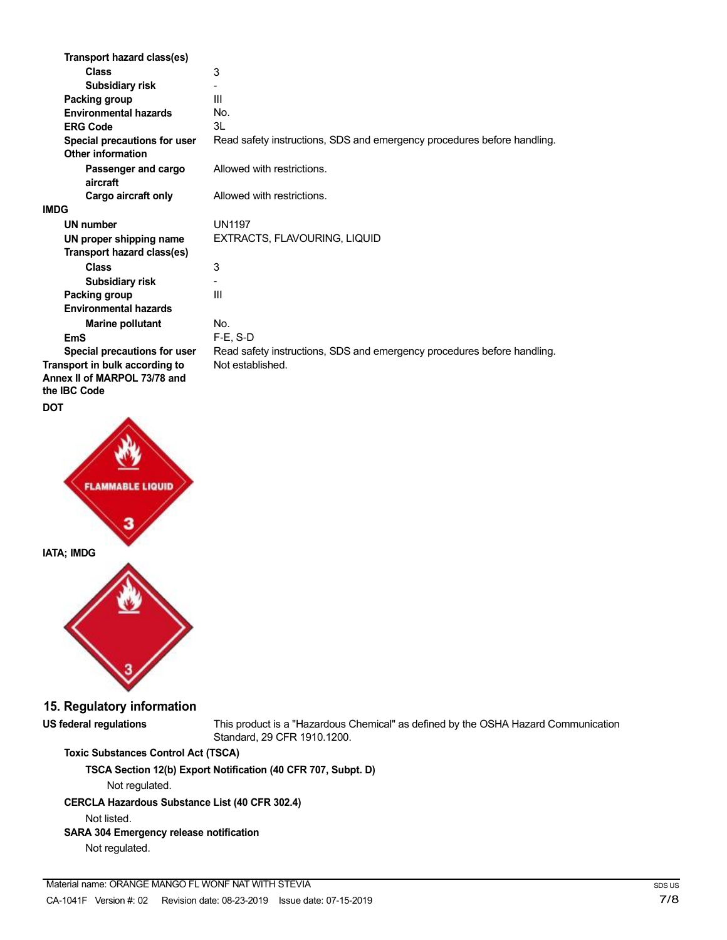| Transport hazard class(es)                        |                                                                         |
|---------------------------------------------------|-------------------------------------------------------------------------|
| <b>Class</b>                                      | 3                                                                       |
| <b>Subsidiary risk</b>                            |                                                                         |
| Packing group                                     | Ш                                                                       |
| <b>Environmental hazards</b>                      | No.                                                                     |
| <b>ERG Code</b>                                   | 31                                                                      |
| Special precautions for user<br>Other information | Read safety instructions, SDS and emergency procedures before handling. |
| Passenger and cargo<br>aircraft                   | Allowed with restrictions.                                              |
| Cargo aircraft only                               | Allowed with restrictions.                                              |
| <b>IMDG</b>                                       |                                                                         |
| UN number                                         | <b>UN1197</b>                                                           |
| UN proper shipping name                           | EXTRACTS, FLAVOURING, LIQUID                                            |
| Transport hazard class(es)                        |                                                                         |
| <b>Class</b>                                      | 3                                                                       |
| <b>Subsidiary risk</b>                            |                                                                         |
| Packing group                                     | Ш                                                                       |
| <b>Environmental hazards</b>                      |                                                                         |
| <b>Marine pollutant</b>                           | No.                                                                     |
| <b>EmS</b>                                        | $F-E$ , S-D                                                             |
| Special precautions for user                      | Read safety instructions, SDS and emergency procedures before handling. |
| Transport in bulk according to                    | Not established.                                                        |
| Annex II of MARPOL 73/78 and<br>the IBC Code      |                                                                         |
| <b>DOT</b>                                        |                                                                         |



**15. Regulatory information**

**US federal regulations** This product is a "Hazardous Chemical" as defined by the OSHA Hazard Communication Standard, 29 CFR 1910.1200.

### **Toxic Substances Control Act (TSCA)**

**TSCA Section 12(b) Export Notification (40 CFR 707, Subpt. D)**

Not regulated.

### **CERCLA Hazardous Substance List (40 CFR 302.4)**

Not listed.

### **SARA 304 Emergency release notification**

Not regulated.